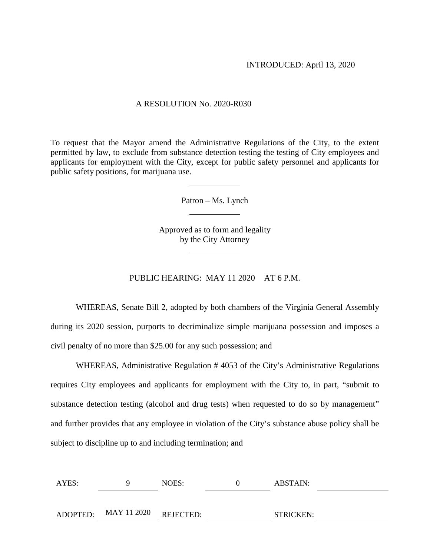### A RESOLUTION No. 2020-R030

To request that the Mayor amend the Administrative Regulations of the City, to the extent permitted by law, to exclude from substance detection testing the testing of City employees and applicants for employment with the City, except for public safety personnel and applicants for public safety positions, for marijuana use.

Patron – Ms. Lynch

Approved as to form and legality by the City Attorney

### PUBLIC HEARING: MAY 11 2020 AT 6 P.M.

WHEREAS, Senate Bill 2, adopted by both chambers of the Virginia General Assembly during its 2020 session, purports to decriminalize simple marijuana possession and imposes a civil penalty of no more than \$25.00 for any such possession; and

WHEREAS, Administrative Regulation # 4053 of the City's Administrative Regulations requires City employees and applicants for employment with the City to, in part, "submit to substance detection testing (alcohol and drug tests) when requested to do so by management" and further provides that any employee in violation of the City's substance abuse policy shall be subject to discipline up to and including termination; and

| AYES: |                                | NOES: | ABSTAIN:         |  |
|-------|--------------------------------|-------|------------------|--|
|       |                                |       |                  |  |
|       | ADOPTED: MAY 11 2020 REJECTED: |       | <b>STRICKEN:</b> |  |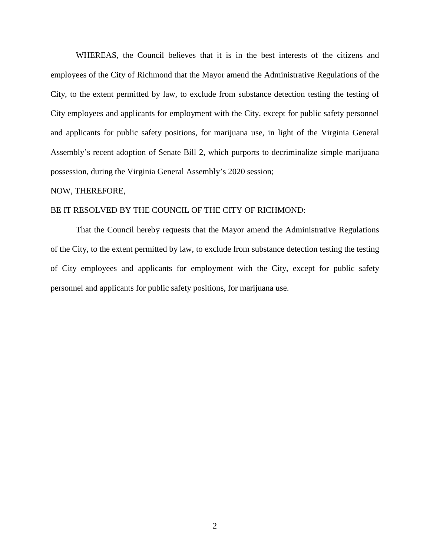WHEREAS, the Council believes that it is in the best interests of the citizens and employees of the City of Richmond that the Mayor amend the Administrative Regulations of the City, to the extent permitted by law, to exclude from substance detection testing the testing of City employees and applicants for employment with the City, except for public safety personnel and applicants for public safety positions, for marijuana use, in light of the Virginia General Assembly's recent adoption of Senate Bill 2, which purports to decriminalize simple marijuana possession, during the Virginia General Assembly's 2020 session;

#### NOW, THEREFORE,

# BE IT RESOLVED BY THE COUNCIL OF THE CITY OF RICHMOND:

That the Council hereby requests that the Mayor amend the Administrative Regulations of the City, to the extent permitted by law, to exclude from substance detection testing the testing of City employees and applicants for employment with the City, except for public safety personnel and applicants for public safety positions, for marijuana use.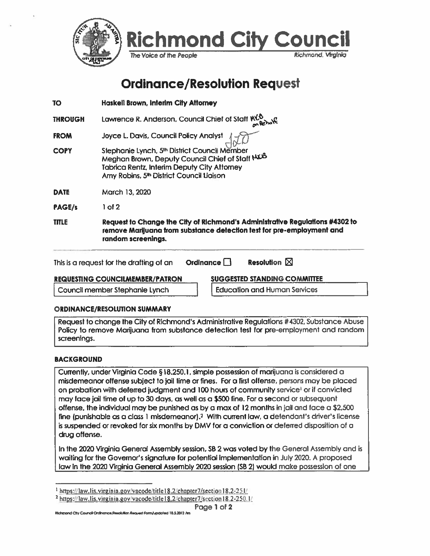

# **Ordinance/Resolution Request**

| <b>TO</b>      | Haskell Brown, Interim City Attorney                                                                                                                                                                   |
|----------------|--------------------------------------------------------------------------------------------------------------------------------------------------------------------------------------------------------|
| <b>THROUGH</b> | Lawrence R. Anderson, Council Chief of Staff $M_0^{\circ}$                                                                                                                                             |
| <b>FROM</b>    | Joyce L. Davis, Council Policy Analyst                                                                                                                                                                 |
| <b>COPY</b>    | Stephanie Lynch, 5th District Council Member<br>Meghan Brown, Deputy Council Chief of Staff NKB<br>Tabrica Rentz, Interim Deputy City Attorney<br>Amy Robins, 5 <sup>th</sup> District Council Liaison |
| <b>DATE</b>    | March 13, 2020                                                                                                                                                                                         |
| PAGE/s         | $1$ of $2$                                                                                                                                                                                             |
| <b>TITLE</b>   | Request to Change the City of Richmond's Administrative Regulations #4302 to<br>remove Marijuana from substance detection test for pre-employment and<br>random screenings.                            |
|                | <b>Resolution</b> $\boxtimes$<br>Ordinance<br>This is a request for the drafting of an                                                                                                                 |
|                | MIAARPER MALININA AALLIETTE<br>REALIFATILIA AALISIAILIELIKER <i>i</i> n LTRASS                                                                                                                         |

**REQUESTING COUNCILMEMBER/PATRON** 

Council member Stephanie Lynch

<u>SUGGESTED STANDING COMMITTEE</u>

**Education and Human Services** 

# **ORDINANCE/RESOLUTION SUMMARY**

Request to change the City of Richmond's Administrative Regulations #4302, Substance Abuse Policy to remove Marijuana from substance detection test for pre-employment and random screenings.

# **BACKGROUND**

Currently, under Virginia Code §18.250.1, simple possession of marijuana is considered a misdemeanor offense subject to jail time or fines. For a first offense, persons may be placed on probation with deferred judgment and 100 hours of community service<sup>1</sup> or if convicted may face jail time of up to 30 days, as well as a \$500 fine. For a second or subsequent offense, the individual may be punished as by a max of 12 months in jail and face a \$2,500 fine (punishable as a class 1 misdemeanor).<sup>2</sup> With current law, a defendant's driver's license is suspended or revoked for six months by DMV for a conviction or deferred disposition of a drug offense.

In the 2020 Virginia General Assembly session, SB 2 was voted by the General Assembly and is waiting for the Governor's signature for potential implementation in July 2020. A proposed law in the 2020 Virginia General Assembly 2020 session (SB 2) would make possession of one

 $\frac{1}{2}$  https://law.lis.virginia.gov/vacode/title18.2/chapter7/section18.2-251/

<sup>&</sup>lt;sup>2</sup> https://law.lis.virginia.gov/vacode/title18.2/chapter7/section18.2-250.1/